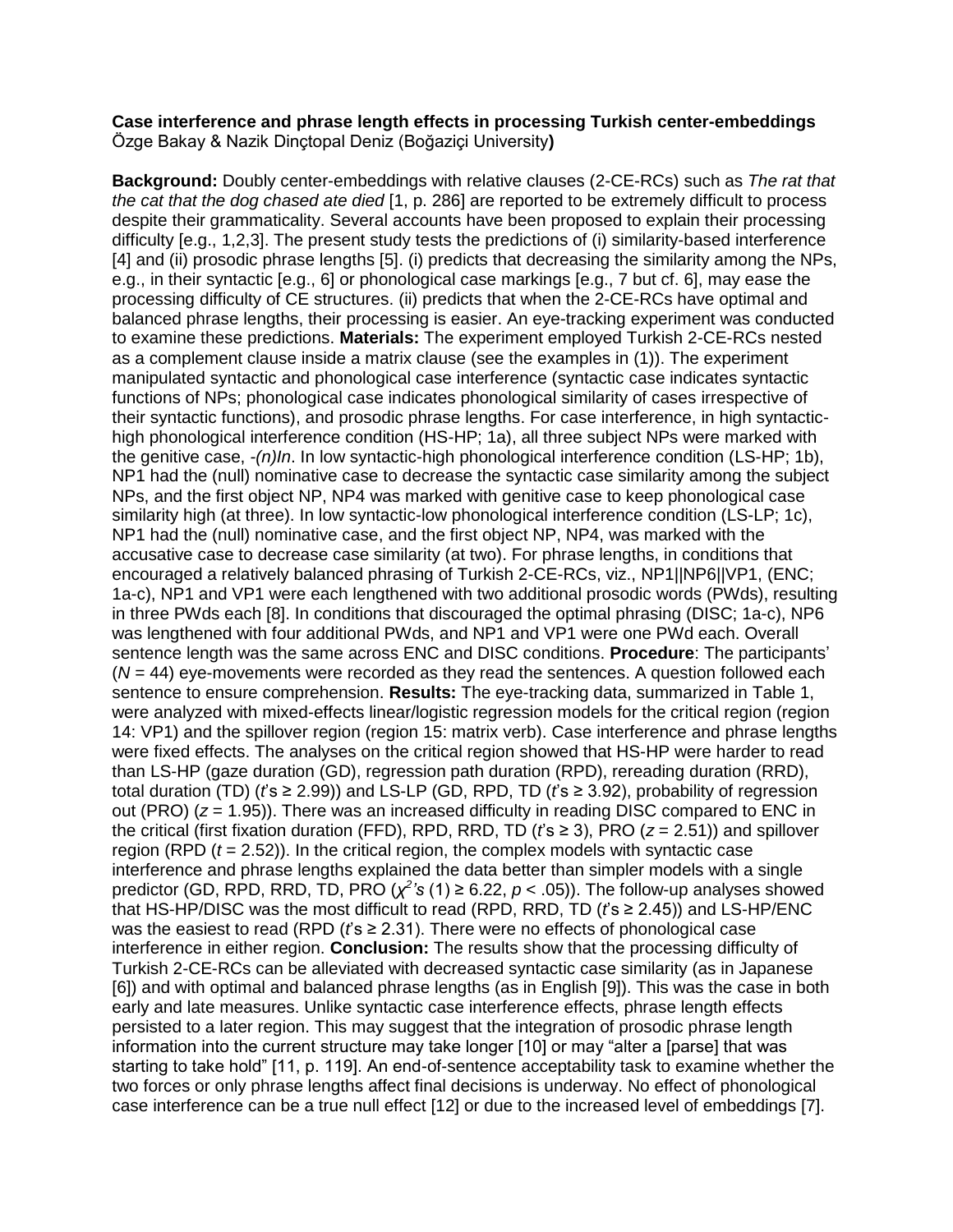## **Case interference and phrase length effects in processing Turkish center-embeddings** Özge Bakay & Nazik Dinçtopal Deniz (Boğaziçi University**)**

**Background:** Doubly center-embeddings with relative clauses (2-CE-RCs) such as *The rat that the cat that the dog chased ate died* [1, p. 286] are reported to be extremely difficult to process despite their grammaticality. Several accounts have been proposed to explain their processing difficulty [e.g., 1,2,3]. The present study tests the predictions of (i) similarity-based interference [4] and (ii) prosodic phrase lengths [5]. (i) predicts that decreasing the similarity among the NPs, e.g., in their syntactic [e.g., 6] or phonological case markings [e.g., 7 but cf. 6], may ease the processing difficulty of CE structures. (ii) predicts that when the 2-CE-RCs have optimal and balanced phrase lengths, their processing is easier. An eye-tracking experiment was conducted to examine these predictions. **Materials:** The experiment employed Turkish 2-CE-RCs nested as a complement clause inside a matrix clause (see the examples in (1)). The experiment manipulated syntactic and phonological case interference (syntactic case indicates syntactic functions of NPs; phonological case indicates phonological similarity of cases irrespective of their syntactic functions), and prosodic phrase lengths. For case interference, in high syntactichigh phonological interference condition (HS-HP; 1a), all three subject NPs were marked with the genitive case, *-(n)In*. In low syntactic-high phonological interference condition (LS-HP; 1b), NP1 had the (null) nominative case to decrease the syntactic case similarity among the subject NPs, and the first object NP, NP4 was marked with genitive case to keep phonological case similarity high (at three). In low syntactic-low phonological interference condition (LS-LP; 1c), NP1 had the (null) nominative case, and the first object NP, NP4, was marked with the accusative case to decrease case similarity (at two). For phrase lengths, in conditions that encouraged a relatively balanced phrasing of Turkish 2-CE-RCs, viz., NP1||NP6||VP1, (ENC; 1a-c), NP1 and VP1 were each lengthened with two additional prosodic words (PWds), resulting in three PWds each [8]. In conditions that discouraged the optimal phrasing (DISC; 1a-c), NP6 was lengthened with four additional PWds, and NP1 and VP1 were one PWd each. Overall sentence length was the same across ENC and DISC conditions. **Procedure**: The participants' (*N* = 44) eye-movements were recorded as they read the sentences. A question followed each sentence to ensure comprehension. **Results:** The eye-tracking data, summarized in Table 1, were analyzed with mixed-effects linear/logistic regression models for the critical region (region 14: VP1) and the spillover region (region 15: matrix verb). Case interference and phrase lengths were fixed effects. The analyses on the critical region showed that HS-HP were harder to read than LS-HP (gaze duration (GD), regression path duration (RPD), rereading duration (RRD), total duration (TD) (*t*'s ≥ 2.99)) and LS-LP (GD, RPD, TD (*t*'s ≥ 3.92), probability of regression out (PRO) (*z* = 1.95)). There was an increased difficulty in reading DISC compared to ENC in the critical (first fixation duration (FFD), RPD, RRD, TD (*t*'s ≥ 3), PRO (*z* = 2.51)) and spillover region (RPD (*t* = 2.52)). In the critical region, the complex models with syntactic case interference and phrase lengths explained the data better than simpler models with a single predictor (GD, RPD, RRD, TD, PRO  $(\chi^2$ 's (1) ≥ 6.22,  $p < .05$ )). The follow-up analyses showed that HS-HP/DISC was the most difficult to read (RPD, RRD, TD (*t*'s ≥ 2.45)) and LS-HP/ENC was the easiest to read (RPD (*f*'s ≥ 2.31). There were no effects of phonological case interference in either region. **Conclusion:** The results show that the processing difficulty of Turkish 2-CE-RCs can be alleviated with decreased syntactic case similarity (as in Japanese [6]) and with optimal and balanced phrase lengths (as in English [9]). This was the case in both early and late measures. Unlike syntactic case interference effects, phrase length effects persisted to a later region. This may suggest that the integration of prosodic phrase length information into the current structure may take longer [10] or may "alter a [parse] that was starting to take hold" [11, p. 119]. An end-of-sentence acceptability task to examine whether the two forces or only phrase lengths affect final decisions is underway. No effect of phonological case interference can be a true null effect [12] or due to the increased level of embeddings [7].